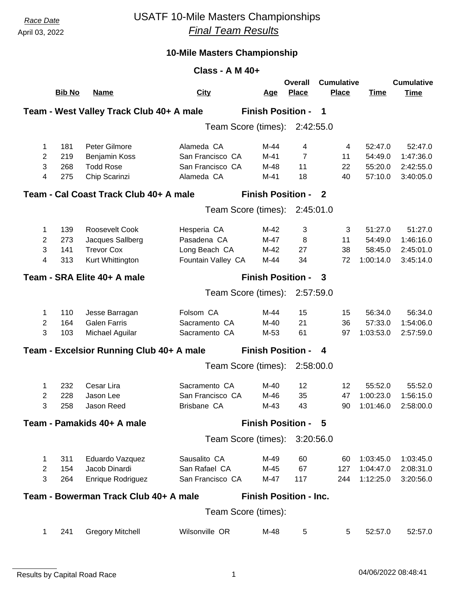## *Race Date* USATF 10-Mile Masters Championships *Final Team Results*

|                     |               |                                          | Class - A M 40+            |                               |                                |                                   |                    |                                  |
|---------------------|---------------|------------------------------------------|----------------------------|-------------------------------|--------------------------------|-----------------------------------|--------------------|----------------------------------|
|                     | <b>Bib No</b> | <b>Name</b>                              | <b>City</b>                | <u>Age</u>                    | <b>Overall</b><br><b>Place</b> | <b>Cumulative</b><br><b>Place</b> | <b>Time</b>        | <b>Cumulative</b><br><b>Time</b> |
|                     |               | Team - West Valley Track Club 40+ A male |                            | <b>Finish Position -</b>      |                                | 1                                 |                    |                                  |
|                     |               |                                          |                            | Team Score (times): 2:42:55.0 |                                |                                   |                    |                                  |
|                     |               |                                          |                            |                               |                                |                                   |                    |                                  |
| 1                   | 181           | Peter Gilmore                            | Alameda CA                 | $M-44$                        | 4                              | 4                                 | 52:47.0            | 52:47.0                          |
| 2                   | 219           | Benjamin Koss                            | San Francisco CA           | $M-41$                        | $\overline{7}$                 | 11                                | 54:49.0            | 1:47:36.0                        |
| 3                   | 268           | <b>Todd Rose</b>                         | San Francisco CA           | M-48                          | 11                             | 22                                | 55:20.0            | 2:42:55.0                        |
| 4                   | 275           | Chip Scarinzi                            | Alameda CA                 | $M-41$                        | 18                             | 40                                | 57:10.0            | 3:40:05.0                        |
|                     |               | Team - Cal Coast Track Club 40+ A male   |                            | <b>Finish Position -</b>      |                                | $\mathbf{2}$                      |                    |                                  |
|                     |               |                                          |                            | Team Score (times):           | 2:45:01.0                      |                                   |                    |                                  |
|                     |               |                                          |                            |                               |                                |                                   |                    |                                  |
| 1<br>$\overline{2}$ | 139<br>273    | Roosevelt Cook<br>Jacques Sallberg       | Hesperia CA<br>Pasadena CA | M-42<br>M-47                  | 3<br>8                         | 3<br>11                           | 51:27.0<br>54:49.0 | 51:27.0<br>1:46:16.0             |
| 3                   | 141           | <b>Trevor Cox</b>                        | Long Beach CA              | M-42                          | 27                             | 38                                | 58:45.0            | 2:45:01.0                        |
| 4                   | 313           | Kurt Whittington                         | Fountain Valley CA         | M-44                          | 34                             | 72                                | 1:00:14.0          | 3:45:14.0                        |
|                     |               |                                          |                            |                               |                                |                                   |                    |                                  |
|                     |               | Team - SRA Elite 40+ A male              |                            | <b>Finish Position -</b>      |                                | 3                                 |                    |                                  |
|                     |               |                                          |                            | Team Score (times):           | 2:57:59.0                      |                                   |                    |                                  |
| 1                   | 110           | Jesse Barragan                           | Folsom CA                  | M-44                          | 15                             | 15                                | 56:34.0            | 56:34.0                          |
| $\overline{2}$      | 164           | <b>Galen Farris</b>                      | Sacramento CA              | M-40                          | 21                             | 36                                | 57:33.0            | 1:54:06.0                        |
| 3                   | 103           | Michael Aguilar                          | Sacramento CA              | M-53                          | 61                             | 97                                | 1:03:53.0          | 2:57:59.0                        |
|                     |               | Team - Excelsior Running Club 40+ A male |                            | <b>Finish Position -</b>      |                                | 4                                 |                    |                                  |
|                     |               |                                          |                            | Team Score (times):           | 2:58:00.0                      |                                   |                    |                                  |
| 1                   | 232           | Cesar Lira                               | Sacramento CA              | M-40                          | 12                             | 12                                | 55:52.0            | 55:52.0                          |
| $\overline{c}$      | 228           | Jason Lee                                | San Francisco CA           | M-46                          | 35                             | 47                                | 1:00:23.0          | 1:56:15.0                        |
| 3                   | 258           | Jason Reed                               | Brisbane CA                | $M-43$                        | 43                             | 90                                | 1:01:46.0          | 2:58:00.0                        |
|                     |               | Team - Pamakids 40+ A male               |                            | <b>Finish Position - 5</b>    |                                |                                   |                    |                                  |
|                     |               |                                          |                            | Team Score (times):           | 3:20:56.0                      |                                   |                    |                                  |
| 1                   | 311           | Eduardo Vazquez                          | Sausalito CA               | M-49                          | 60                             | 60                                | 1:03:45.0          | 1:03:45.0                        |
| $\mathbf{2}$        | 154           | Jacob Dinardi                            | San Rafael CA              | M-45                          | 67                             | 127                               | 1:04:47.0          | 2:08:31.0                        |
| 3                   | 264           | Enrique Rodriguez                        | San Francisco CA           | M-47                          | 117                            | 244                               | 1:12:25.0          | 3:20:56.0                        |
|                     |               |                                          |                            |                               |                                |                                   |                    |                                  |
|                     |               | Team - Bowerman Track Club 40+ A male    |                            | <b>Finish Position - Inc.</b> |                                |                                   |                    |                                  |
|                     |               |                                          |                            | Team Score (times):           |                                |                                   |                    |                                  |
| 1                   | 241           | <b>Gregory Mitchell</b>                  | Wilsonville OR             | M-48                          | 5                              | 5                                 | 52:57.0            | 52:57.0                          |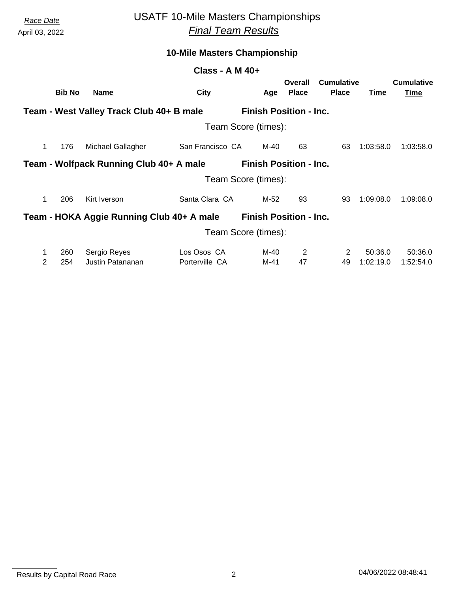# *Race Date* USATF 10-Mile Masters Championships *Final Team Results*

### **10-Mile Masters Championship**

#### **Class - A M 40+**

|   | <b>Bib No</b>                                                             | <b>Name</b>                               | <b>City</b>         | <u>Age</u> | Overall<br><b>Place</b>       | <b>Cumulative</b><br><b>Place</b> | Time      | <b>Cumulative</b><br><u>Time</u> |  |  |
|---|---------------------------------------------------------------------------|-------------------------------------------|---------------------|------------|-------------------------------|-----------------------------------|-----------|----------------------------------|--|--|
|   | <b>Finish Position - Inc.</b><br>Team - West Valley Track Club 40+ B male |                                           |                     |            |                               |                                   |           |                                  |  |  |
|   |                                                                           |                                           | Team Score (times): |            |                               |                                   |           |                                  |  |  |
| 1 | 176                                                                       | Michael Gallagher                         | San Francisco CA    | M-40       | 63                            | 63                                | 1:03:58.0 | 1:03:58.0                        |  |  |
|   |                                                                           | Team - Wolfpack Running Club 40+ A male   |                     |            | <b>Finish Position - Inc.</b> |                                   |           |                                  |  |  |
|   |                                                                           |                                           | Team Score (times): |            |                               |                                   |           |                                  |  |  |
| 1 | 206                                                                       | Kirt Iverson                              | Santa Clara CA      | M-52       | 93                            | 93                                | 1:09:08.0 | 1:09:08.0                        |  |  |
|   |                                                                           | Team - HOKA Aggie Running Club 40+ A male |                     |            | <b>Finish Position - Inc.</b> |                                   |           |                                  |  |  |
|   |                                                                           |                                           | Team Score (times): |            |                               |                                   |           |                                  |  |  |
| 1 | 260                                                                       | Sergio Reyes                              | Los Osos CA         | M-40       | 2                             | 2                                 | 50:36.0   | 50:36.0                          |  |  |
| 2 | 254                                                                       | Justin Patananan                          | Porterville CA      | M-41       | 47                            | 49                                | 1:02:19.0 | 1:52:54.0                        |  |  |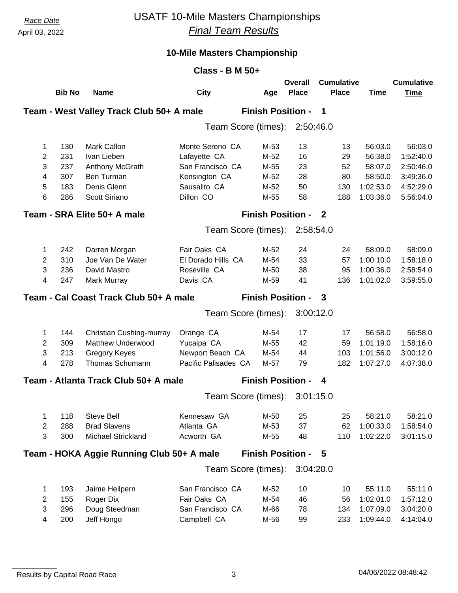# *Race Date* USATF 10-Mile Masters Championships *Final Team Results*

| <b>Cumulative</b><br>Overall<br><b>Bib No</b><br><b>City</b><br><b>Place</b><br><b>Place</b><br><b>Time</b><br><b>Name</b><br><u>Age</u><br>Team - West Valley Track Club 50+ A male<br><b>Finish Position -</b><br>1<br>Team Score (times):<br>2:50:46.0<br>Monte Sereno CA<br>130<br><b>Mark Callon</b><br>M-53<br>13<br>13<br>56:03.0<br>1<br>2<br>231<br>Ivan Lieben<br>Lafayette CA<br>M-52<br>16<br>56:38.0<br>29 | <b>Cumulative</b><br><b>Time</b><br>56:03.0<br>1:52:40.0<br>2:50:46.0<br>3:49:36.0 |
|-------------------------------------------------------------------------------------------------------------------------------------------------------------------------------------------------------------------------------------------------------------------------------------------------------------------------------------------------------------------------------------------------------------------------|------------------------------------------------------------------------------------|
|                                                                                                                                                                                                                                                                                                                                                                                                                         |                                                                                    |
|                                                                                                                                                                                                                                                                                                                                                                                                                         |                                                                                    |
|                                                                                                                                                                                                                                                                                                                                                                                                                         |                                                                                    |
|                                                                                                                                                                                                                                                                                                                                                                                                                         |                                                                                    |
|                                                                                                                                                                                                                                                                                                                                                                                                                         |                                                                                    |
|                                                                                                                                                                                                                                                                                                                                                                                                                         |                                                                                    |
| 3<br>237<br>San Francisco CA<br>M-55<br>23<br>52<br>58:07.0<br>Anthony McGrath                                                                                                                                                                                                                                                                                                                                          |                                                                                    |
| 4<br>307<br>Ben Turman<br>Kensington CA<br>M-52<br>28<br>80<br>58:50.0                                                                                                                                                                                                                                                                                                                                                  |                                                                                    |
| 5<br>183<br>Denis Glenn<br>Sausalito CA<br>50<br>1:02:53.0<br>M-52<br>130                                                                                                                                                                                                                                                                                                                                               | 4:52:29.0                                                                          |
| Dillon CO<br>6<br>286<br>Scott Siriano<br>M-55<br>58<br>188<br>1:03:36.0                                                                                                                                                                                                                                                                                                                                                | 5:56:04.0                                                                          |
| <b>Finish Position -</b><br>Team - SRA Elite 50+ A male<br>$\overline{\phantom{a}}$                                                                                                                                                                                                                                                                                                                                     |                                                                                    |
| Team Score (times):<br>2:58:54.0                                                                                                                                                                                                                                                                                                                                                                                        |                                                                                    |
|                                                                                                                                                                                                                                                                                                                                                                                                                         |                                                                                    |
| 242<br>24<br>$\mathbf 1$<br>Darren Morgan<br>Fair Oaks CA<br>M-52<br>24<br>58:09.0                                                                                                                                                                                                                                                                                                                                      | 58:09.0                                                                            |
| 2<br>310<br>Joe Van De Water<br>El Dorado Hills CA<br>M-54<br>33<br>1:00:10.0<br>57                                                                                                                                                                                                                                                                                                                                     | 1:58:18.0                                                                          |
| 3<br>236<br>Roseville CA<br>38<br>1:00:36.0<br>David Mastro<br>M-50<br>95                                                                                                                                                                                                                                                                                                                                               | 2:58:54.0                                                                          |
| 4<br>247<br>Davis CA<br>41<br>136<br>1:01:02.0<br>Mark Murray<br>M-59                                                                                                                                                                                                                                                                                                                                                   | 3:59:55.0                                                                          |
| Team - Cal Coast Track Club 50+ A male<br><b>Finish Position -</b><br>3                                                                                                                                                                                                                                                                                                                                                 |                                                                                    |
| 3:00:12.0<br>Team Score (times):                                                                                                                                                                                                                                                                                                                                                                                        |                                                                                    |
|                                                                                                                                                                                                                                                                                                                                                                                                                         |                                                                                    |
| 144<br>Christian Cushing-murray<br>Orange CA<br>M-54<br>17<br>56:58.0<br>1<br>17                                                                                                                                                                                                                                                                                                                                        | 56:58.0                                                                            |
| 2<br>309<br><b>Matthew Underwood</b><br>Yucaipa CA<br>M-55<br>42<br>1:01:19.0<br>59                                                                                                                                                                                                                                                                                                                                     | 1:58:16.0                                                                          |
| 3<br>213<br><b>Gregory Keyes</b><br>Newport Beach CA<br>103<br>1:01:56.0<br>M-54<br>44                                                                                                                                                                                                                                                                                                                                  | 3:00:12.0                                                                          |
| 4<br>278<br>Thomas Schumann<br>Pacific Palisades CA<br>M-57<br>79<br>182<br>1:07:27.0                                                                                                                                                                                                                                                                                                                                   | 4:07:38.0                                                                          |
| Team - Atlanta Track Club 50+ A male<br><b>Finish Position -</b><br>4                                                                                                                                                                                                                                                                                                                                                   |                                                                                    |
| 3:01:15.0<br>Team Score (times):                                                                                                                                                                                                                                                                                                                                                                                        |                                                                                    |
|                                                                                                                                                                                                                                                                                                                                                                                                                         |                                                                                    |
| 118<br><b>Steve Bell</b><br>58:21.0<br>1<br>Kennesaw GA<br>M-50<br>25<br>25<br><b>Brad Slavens</b><br>Atlanta GA<br>37                                                                                                                                                                                                                                                                                                  | 58:21.0                                                                            |
| $\overline{2}$<br>288<br>M-53<br>62<br>1:00:33.0<br>Michael Strickland<br>1:02:22.0                                                                                                                                                                                                                                                                                                                                     | 1:58:54.0                                                                          |
| 3<br>300<br>Acworth GA<br>M-55<br>48<br>110                                                                                                                                                                                                                                                                                                                                                                             | 3:01:15.0                                                                          |
| <b>Finish Position -</b><br>Team - HOKA Aggie Running Club 50+ A male<br>- 5                                                                                                                                                                                                                                                                                                                                            |                                                                                    |
| Team Score (times):<br>3:04:20.0                                                                                                                                                                                                                                                                                                                                                                                        |                                                                                    |
| 193<br>San Francisco CA<br>10<br>Jaime Heilpern<br>M-52<br>10<br>55:11.0<br>1                                                                                                                                                                                                                                                                                                                                           | 55:11.0                                                                            |
| 2<br>155<br>Roger Dix<br>Fair Oaks CA<br>M-54<br>46<br>1:02:01.0<br>56                                                                                                                                                                                                                                                                                                                                                  | 1:57:12.0                                                                          |
| 3<br>296<br>Doug Steedman<br>San Francisco CA<br>M-66<br>134<br>1:07:09.0<br>78                                                                                                                                                                                                                                                                                                                                         | 3:04:20.0                                                                          |
| 4<br>200<br>Jeff Hongo<br>Campbell CA<br>M-56<br>233<br>1:09:44.0<br>99                                                                                                                                                                                                                                                                                                                                                 | 4:14:04.0                                                                          |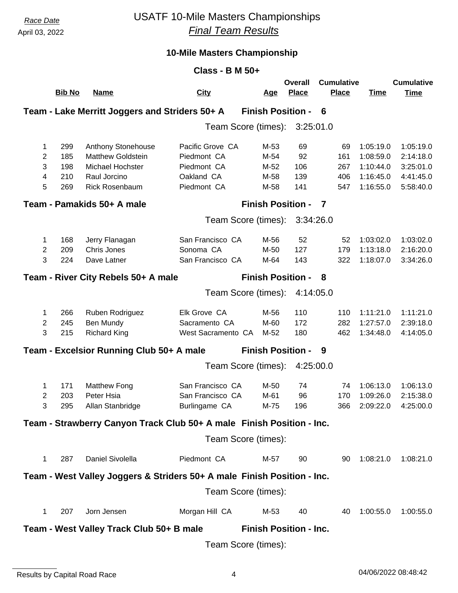## *Race Date* USATF 10-Mile Masters Championships *Final Team Results*

| Class - B M $50+$                                                    |                     |                                                                         |                     |                               |                         |                                   |             |                                  |  |
|----------------------------------------------------------------------|---------------------|-------------------------------------------------------------------------|---------------------|-------------------------------|-------------------------|-----------------------------------|-------------|----------------------------------|--|
|                                                                      | <b>Bib No</b>       | <b>Name</b>                                                             | <b>City</b>         | <u>Age</u>                    | Overall<br><b>Place</b> | <b>Cumulative</b><br><b>Place</b> | <b>Time</b> | <b>Cumulative</b><br><b>Time</b> |  |
|                                                                      |                     | Team - Lake Merritt Joggers and Striders 50+ A                          |                     | <b>Finish Position -</b>      |                         | - 6                               |             |                                  |  |
|                                                                      |                     |                                                                         | Team Score (times): |                               | 3:25:01.0               |                                   |             |                                  |  |
| 1                                                                    | 299                 | Anthony Stonehouse                                                      | Pacific Grove CA    | M-53                          | 69                      | 69                                | 1:05:19.0   | 1:05:19.0                        |  |
| $\overline{2}$                                                       | 185                 | <b>Matthew Goldstein</b>                                                | Piedmont CA         | M-54                          | 92                      | 161                               | 1:08:59.0   | 2:14:18.0                        |  |
| 3                                                                    | 198                 | <b>Michael Hochster</b>                                                 | Piedmont CA         | M-52                          | 106                     | 267                               | 1:10:44.0   | 3:25:01.0                        |  |
| 4                                                                    | 210                 | Raul Jorcino                                                            | Oakland CA          | M-58                          | 139                     | 406                               | 1:16:45.0   | 4:41:45.0                        |  |
| 5                                                                    | 269                 | <b>Rick Rosenbaum</b>                                                   | Piedmont CA         | M-58                          | 141                     | 547                               | 1:16:55.0   | 5:58:40.0                        |  |
| <b>Finish Position -</b><br>Team - Pamakids 50+ A male<br>7          |                     |                                                                         |                     |                               |                         |                                   |             |                                  |  |
|                                                                      |                     |                                                                         | Team Score (times): |                               | 3:34:26.0               |                                   |             |                                  |  |
| 1                                                                    | 168                 | Jerry Flanagan                                                          | San Francisco CA    | M-56                          | 52                      | 52                                | 1:03:02.0   | 1:03:02.0                        |  |
| $\mathbf{2}$                                                         | 209                 | Chris Jones                                                             | Sonoma CA           | M-50                          | 127                     | 179                               | 1:13:18.0   | 2:16:20.0                        |  |
| 3                                                                    | 224                 | Dave Latner                                                             | San Francisco CA    | M-64                          | 143                     | 322                               | 1:18:07.0   | 3:34:26.0                        |  |
| <b>Finish Position -</b><br>Team - River City Rebels 50+ A male<br>8 |                     |                                                                         |                     |                               |                         |                                   |             |                                  |  |
|                                                                      |                     |                                                                         | Team Score (times): |                               | 4:14:05.0               |                                   |             |                                  |  |
| 1                                                                    | 266                 | Ruben Rodriguez                                                         | Elk Grove CA        | M-56                          | 110                     | 110                               | 1:11:21.0   | 1:11:21.0                        |  |
| $\overline{c}$                                                       | 245                 | Ben Mundy                                                               | Sacramento CA       | M-60                          | 172                     | 282                               | 1:27:57.0   | 2:39:18.0                        |  |
| 3                                                                    | 215                 | <b>Richard King</b>                                                     | West Sacramento CA  | M-52                          | 180                     | 462                               | 1:34:48.0   | 4:14:05.0                        |  |
|                                                                      |                     | Team - Excelsior Running Club 50+ A male                                |                     | <b>Finish Position -</b>      |                         | 9                                 |             |                                  |  |
|                                                                      |                     |                                                                         | Team Score (times): |                               | 4:25:00.0               |                                   |             |                                  |  |
| 1                                                                    | 171                 | <b>Matthew Fong</b>                                                     | San Francisco CA    | M-50                          | 74                      | 74                                | 1:06:13.0   | 1:06:13.0                        |  |
| $\overline{2}$                                                       | 203                 | Peter Hsia                                                              | San Francisco CA    | M-61                          | 96                      | 170                               | 1:09:26.0   | 2:15:38.0                        |  |
| 3                                                                    | 295                 | Allan Stanbridge                                                        | Burlingame CA       | M-75                          | 196                     | 366                               | 2:09:22.0   | 4:25:00.0                        |  |
|                                                                      |                     | Team - Strawberry Canyon Track Club 50+ A male Finish Position - Inc.   |                     |                               |                         |                                   |             |                                  |  |
|                                                                      |                     |                                                                         | Team Score (times): |                               |                         |                                   |             |                                  |  |
| $\mathbf{1}$                                                         | 287                 | Daniel Sivolella                                                        | Piedmont CA         | M-57                          | 90                      | 90                                | 1:08:21.0   | 1:08:21.0                        |  |
|                                                                      |                     | Team - West Valley Joggers & Striders 50+ A male Finish Position - Inc. |                     |                               |                         |                                   |             |                                  |  |
|                                                                      |                     |                                                                         | Team Score (times): |                               |                         |                                   |             |                                  |  |
| $\mathbf{1}$                                                         | 207                 | Jorn Jensen                                                             | Morgan Hill CA      | M-53                          | 40                      | 40                                | 1:00:55.0   | 1:00:55.0                        |  |
|                                                                      |                     | Team - West Valley Track Club 50+ B male                                |                     | <b>Finish Position - Inc.</b> |                         |                                   |             |                                  |  |
|                                                                      | Team Score (times): |                                                                         |                     |                               |                         |                                   |             |                                  |  |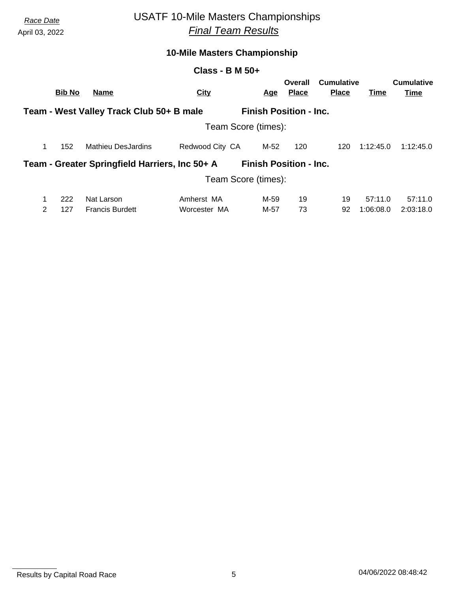# *Race Date* USATF 10-Mile Masters Championships *Final Team Results*

### **10-Mile Masters Championship**

#### **Class - B M 50+**

|        | <b>Bib No</b> | <b>Name</b>                                    | <b>City</b>                |                     | <u>Age</u>   | Overall<br><b>Place</b>       | Cumulative<br><b>Place</b> | Time                 | <b>Cumulative</b><br>Time |
|--------|---------------|------------------------------------------------|----------------------------|---------------------|--------------|-------------------------------|----------------------------|----------------------|---------------------------|
|        |               | Team - West Valley Track Club 50+ B male       |                            |                     |              | <b>Finish Position - Inc.</b> |                            |                      |                           |
|        |               |                                                |                            | Team Score (times): |              |                               |                            |                      |                           |
| 1      | 152           | <b>Mathieu DesJardins</b>                      | Redwood City CA            |                     | M-52         | 120                           | 120                        | 1:12:45.0            | 1:12:45.0                 |
|        |               | Team - Greater Springfield Harriers, Inc 50+ A |                            |                     |              | <b>Finish Position - Inc.</b> |                            |                      |                           |
|        |               |                                                |                            | Team Score (times): |              |                               |                            |                      |                           |
| 1<br>2 | 222<br>127    | Nat Larson<br><b>Francis Burdett</b>           | Amherst MA<br>Worcester MA |                     | M-59<br>M-57 | 19<br>73                      | 19<br>92                   | 57:11.0<br>1:06:08.0 | 57:11.0<br>2:03:18.0      |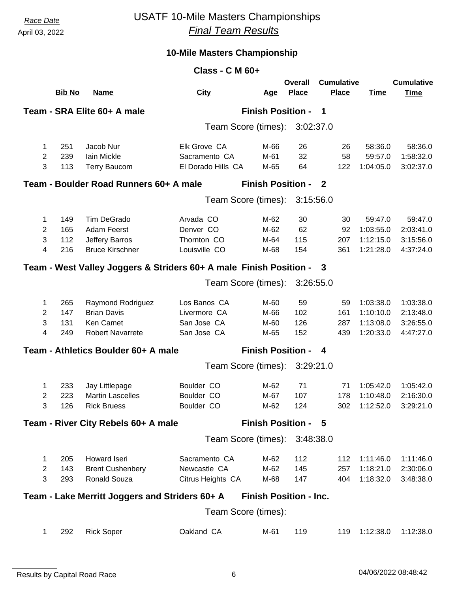### *Race Date* USATF 10-Mile Masters Championships *Final Team Results*

| <b>Class - C M 60+</b> |               |                                                                    |                                     |                               |                         |                                   |                      |                                  |  |
|------------------------|---------------|--------------------------------------------------------------------|-------------------------------------|-------------------------------|-------------------------|-----------------------------------|----------------------|----------------------------------|--|
|                        | <b>Bib No</b> | <b>Name</b>                                                        | <b>City</b>                         | <u>Age</u>                    | Overall<br><b>Place</b> | <b>Cumulative</b><br><b>Place</b> | <b>Time</b>          | <b>Cumulative</b><br><b>Time</b> |  |
|                        |               | Team - SRA Elite 60+ A male                                        |                                     | <b>Finish Position -</b>      |                         | -1                                |                      |                                  |  |
|                        |               |                                                                    |                                     | Team Score (times):           | 3:02:37.0               |                                   |                      |                                  |  |
|                        |               |                                                                    |                                     |                               |                         |                                   |                      |                                  |  |
| 1                      | 251           | Jacob Nur                                                          | Elk Grove CA                        | M-66                          | 26                      | 26                                | 58:36.0              | 58:36.0                          |  |
| $\overline{2}$<br>3    | 239<br>113    | Iain Mickle<br><b>Terry Baucom</b>                                 | Sacramento CA<br>El Dorado Hills CA | M-61<br>M-65                  | 32<br>64                | 58<br>122                         | 59:57.0<br>1:04:05.0 | 1:58:32.0<br>3:02:37.0           |  |
|                        |               |                                                                    |                                     |                               |                         |                                   |                      |                                  |  |
|                        |               | Team - Boulder Road Runners 60+ A male                             |                                     | <b>Finish Position - 2</b>    |                         |                                   |                      |                                  |  |
|                        |               |                                                                    |                                     | Team Score (times):           | 3:15:56.0               |                                   |                      |                                  |  |
| 1                      | 149           | <b>Tim DeGrado</b>                                                 | Arvada CO                           | M-62                          | 30                      | 30                                | 59:47.0              | 59:47.0                          |  |
| $\mathbf{2}$           | 165           | <b>Adam Feerst</b>                                                 | Denver CO                           | M-62                          | 62                      | 92                                | 1:03:55.0            | 2:03:41.0                        |  |
| 3                      | 112           | <b>Jeffery Barros</b>                                              | Thornton CO                         | M-64                          | 115                     | 207                               | 1:12:15.0            | 3:15:56.0                        |  |
| 4                      | 216           | <b>Bruce Kirschner</b>                                             | Louisville CO                       | M-68                          | 154                     | 361                               | 1:21:28.0            | 4:37:24.0                        |  |
|                        |               | Team - West Valley Joggers & Striders 60+ A male Finish Position - |                                     |                               |                         | $\mathbf{3}$                      |                      |                                  |  |
|                        |               |                                                                    |                                     | Team Score (times):           | 3:26:55.0               |                                   |                      |                                  |  |
| 1                      | 265           | Raymond Rodriguez                                                  | Los Banos CA                        | M-60                          | 59                      | 59                                | 1:03:38.0            | 1:03:38.0                        |  |
| 2                      | 147           | <b>Brian Davis</b>                                                 | Livermore CA                        | M-66                          | 102                     | 161                               | 1:10:10.0            | 2:13:48.0                        |  |
| 3                      | 131           | Ken Camet                                                          | San Jose CA                         | M-60                          | 126                     | 287                               | 1:13:08.0            | 3:26:55.0                        |  |
| 4                      | 249           | <b>Robert Navarrete</b>                                            | San Jose CA                         | M-65                          | 152                     | 439                               | 1:20:33.0            | 4:47:27.0                        |  |
|                        |               | Team - Athletics Boulder 60+ A male                                |                                     | <b>Finish Position -</b>      |                         | 4                                 |                      |                                  |  |
|                        |               |                                                                    |                                     | Team Score (times):           | 3:29:21.0               |                                   |                      |                                  |  |
| 1                      | 233           | Jay Littlepage                                                     | Boulder CO                          | M-62                          | 71                      | 71                                | 1:05:42.0            | 1:05:42.0                        |  |
| 2                      | 223           | <b>Martin Lascelles</b>                                            | Boulder CO                          | M-67                          | 107                     | 178                               | 1:10:48.0            | 2:16:30.0                        |  |
| 3                      | 126           | <b>Rick Bruess</b>                                                 | Boulder CO                          | M-62                          | 124                     | 302                               | 1:12:52.0            | 3:29:21.0                        |  |
|                        |               | Team - River City Rebels 60+ A male                                |                                     | <b>Finish Position - 5</b>    |                         |                                   |                      |                                  |  |
|                        |               |                                                                    |                                     | Team Score (times):           | 3:48:38.0               |                                   |                      |                                  |  |
| 1                      | 205           | Howard Iseri                                                       | Sacramento CA                       | M-62                          | 112                     | 112                               | 1:11:46.0            | 1:11:46.0                        |  |
| $\mathbf{2}$           | 143           | <b>Brent Cushenbery</b>                                            | Newcastle CA                        | M-62                          | 145                     | 257                               | 1:18:21.0            | 2:30:06.0                        |  |
| 3                      | 293           | Ronald Souza                                                       | Citrus Heights CA                   | M-68                          | 147                     | 404                               | 1:18:32.0            | 3:48:38.0                        |  |
|                        |               |                                                                    |                                     | <b>Finish Position - Inc.</b> |                         |                                   |                      |                                  |  |
|                        |               | Team - Lake Merritt Joggers and Striders 60+ A                     |                                     | Team Score (times):           |                         |                                   |                      |                                  |  |
|                        |               |                                                                    |                                     |                               |                         |                                   |                      |                                  |  |
| 1                      | 292           | <b>Rick Soper</b>                                                  | Oakland CA                          | M-61                          | 119                     | 119                               | 1:12:38.0            | 1:12:38.0                        |  |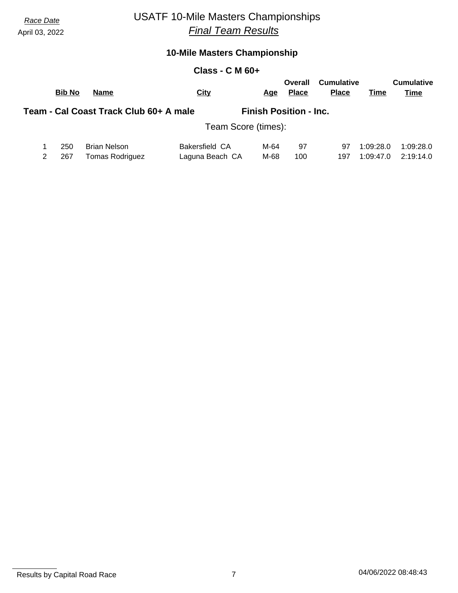# *Race Date* USATF 10-Mile Masters Championships *Final Team Results*

### **10-Mile Masters Championship**

#### **Class - C M 60+**

| <b>Bib No</b> | <b>Name</b>                            | <b>City</b>           | Age  | Overall<br><b>Place</b>       | <b>Cumulative</b><br><b>Place</b> | Time      | <b>Cumulative</b><br>Time |
|---------------|----------------------------------------|-----------------------|------|-------------------------------|-----------------------------------|-----------|---------------------------|
|               | Team - Cal Coast Track Club 60+ A male |                       |      | <b>Finish Position - Inc.</b> |                                   |           |                           |
|               |                                        | Team Score (times):   |      |                               |                                   |           |                           |
| 250           | <b>Brian Nelson</b>                    | <b>Bakersfield CA</b> | M-64 | 97                            | 97                                | 1:09:28.0 | 1:09:28.0                 |
| 267           | Tomas Rodriguez                        | Laguna Beach CA       | M-68 | 100                           | 197                               | 1:09:47.0 | 2:19:14.0                 |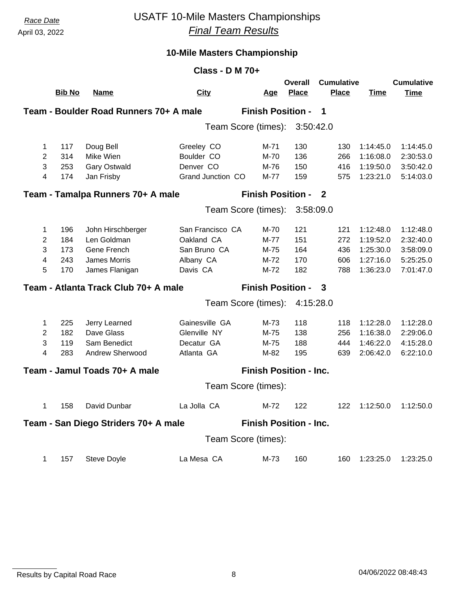## *Race Date* USATF 10-Mile Masters Championships *Final Team Results*

| Class - D M 70+ |               |                                        |                               |                               |                         |                                   |             |                                  |  |  |
|-----------------|---------------|----------------------------------------|-------------------------------|-------------------------------|-------------------------|-----------------------------------|-------------|----------------------------------|--|--|
|                 | <b>Bib No</b> | <b>Name</b>                            | <b>City</b>                   | <u>Age</u>                    | Overall<br><b>Place</b> | <b>Cumulative</b><br><b>Place</b> | <b>Time</b> | <b>Cumulative</b><br><b>Time</b> |  |  |
|                 |               | Team - Boulder Road Runners 70+ A male |                               | <b>Finish Position -</b>      |                         | -1                                |             |                                  |  |  |
|                 |               |                                        | Team Score (times): 3:50:42.0 |                               |                         |                                   |             |                                  |  |  |
|                 |               |                                        |                               |                               |                         |                                   |             |                                  |  |  |
| 1               | 117           | Doug Bell                              | Greeley CO                    | M-71                          | 130                     | 130                               | 1:14:45.0   | 1:14:45.0                        |  |  |
| $\overline{2}$  | 314           | Mike Wien                              | Boulder CO                    | M-70                          | 136                     | 266                               | 1:16:08.0   | 2:30:53.0                        |  |  |
| 3               | 253           | <b>Gary Ostwald</b>                    | Denver CO                     | M-76                          | 150                     | 416                               | 1:19:50.0   | 3:50:42.0                        |  |  |
| 4               | 174           | Jan Frisby                             | Grand Junction CO             | M-77                          | 159                     | 575                               | 1:23:21.0   | 5:14:03.0                        |  |  |
|                 |               | Team - Tamalpa Runners 70+ A male      |                               | <b>Finish Position -</b>      |                         | $\overline{\mathbf{2}}$           |             |                                  |  |  |
|                 |               |                                        | Team Score (times):           |                               | 3:58:09.0               |                                   |             |                                  |  |  |
| 1               | 196           | John Hirschberger                      | San Francisco CA              | M-70                          | 121                     | 121                               | 1:12:48.0   | 1:12:48.0                        |  |  |
| 2               | 184           | Len Goldman                            | Oakland CA                    | M-77                          | 151                     | 272                               | 1:19:52.0   | 2:32:40.0                        |  |  |
| 3               | 173           | Gene French                            | San Bruno CA                  | M-75                          | 164                     | 436                               | 1:25:30.0   | 3:58:09.0                        |  |  |
| 4               | 243           | James Morris                           | Albany CA                     | M-72                          | 170                     | 606                               | 1:27:16.0   | 5:25:25.0                        |  |  |
| 5               | 170           | James Flanigan                         | Davis CA                      | $M-72$                        | 182                     | 788                               | 1:36:23.0   | 7:01:47.0                        |  |  |
|                 |               | Team - Atlanta Track Club 70+ A male   |                               | <b>Finish Position - 3</b>    |                         |                                   |             |                                  |  |  |
|                 |               |                                        | Team Score (times):           |                               | 4:15:28.0               |                                   |             |                                  |  |  |
| 1               | 225           | Jerry Learned                          | Gainesville GA                | M-73                          | 118                     | 118                               | 1:12:28.0   | 1:12:28.0                        |  |  |
| $\mathbf{2}$    | 182           | Dave Glass                             | Glenville NY                  | M-75                          | 138                     | 256                               | 1:16:38.0   | 2:29:06.0                        |  |  |
| 3               | 119           | Sam Benedict                           | Decatur GA                    | M-75                          | 188                     | 444                               | 1:46:22.0   | 4:15:28.0                        |  |  |
| $\overline{4}$  | 283           | Andrew Sherwood                        | Atlanta GA                    | M-82                          | 195                     | 639                               | 2:06:42.0   | 6:22:10.0                        |  |  |
|                 |               | Team - Jamul Toads 70+ A male          |                               | <b>Finish Position - Inc.</b> |                         |                                   |             |                                  |  |  |
|                 |               |                                        | Team Score (times):           |                               |                         |                                   |             |                                  |  |  |
| 1               | 158           | David Dunbar                           | La Jolla CA                   | M-72                          | 122                     | 122                               | 1:12:50.0   | 1:12:50.0                        |  |  |
|                 |               | Team - San Diego Striders 70+ A male   |                               | <b>Finish Position - Inc.</b> |                         |                                   |             |                                  |  |  |
|                 |               |                                        | Team Score (times):           |                               |                         |                                   |             |                                  |  |  |
| 1               | 157           | Steve Doyle                            | La Mesa CA                    | M-73                          | 160                     | 160                               | 1:23:25.0   | 1:23:25.0                        |  |  |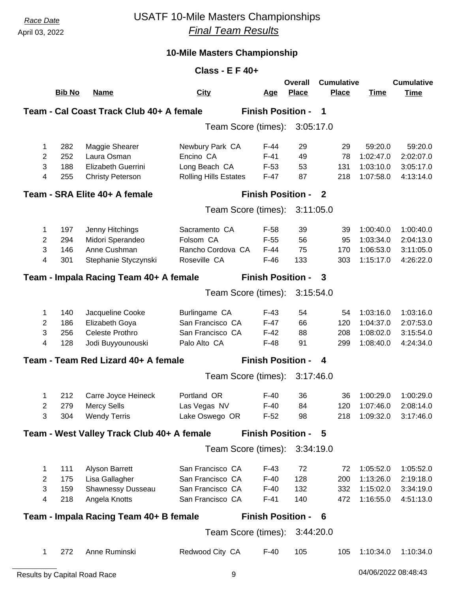# *Race Date* USATF 10-Mile Masters Championships *Final Team Results*

| <b>Class - E F 40+</b>                                                  |               |                                            |                              |                          |                         |                                   |             |                                  |  |
|-------------------------------------------------------------------------|---------------|--------------------------------------------|------------------------------|--------------------------|-------------------------|-----------------------------------|-------------|----------------------------------|--|
|                                                                         | <b>Bib No</b> | <b>Name</b>                                | <b>City</b>                  | <u>Age</u>               | Overall<br><b>Place</b> | <b>Cumulative</b><br><b>Place</b> | <b>Time</b> | <b>Cumulative</b><br><b>Time</b> |  |
|                                                                         |               | Team - Cal Coast Track Club 40+ A female   |                              | <b>Finish Position -</b> |                         | 1                                 |             |                                  |  |
|                                                                         |               |                                            | Team Score (times):          |                          | 3:05:17.0               |                                   |             |                                  |  |
| 1                                                                       | 282           | Maggie Shearer                             | Newbury Park CA              | $F-44$                   | 29                      | 29                                | 59:20.0     | 59:20.0                          |  |
| 2                                                                       | 252           | Laura Osman                                | Encino CA                    | $F-41$                   | 49                      | 78                                | 1:02:47.0   | 2:02:07.0                        |  |
| 3                                                                       | 188           | Elizabeth Guerrini                         | Long Beach CA                | $F-53$                   | 53                      | 131                               | 1:03:10.0   | 3:05:17.0                        |  |
| 4                                                                       | 255           | <b>Christy Peterson</b>                    | <b>Rolling Hills Estates</b> | $F-47$                   | 87                      | 218                               | 1:07:58.0   | 4:13:14.0                        |  |
| <b>Finish Position - 2</b><br>Team - SRA Elite 40+ A female             |               |                                            |                              |                          |                         |                                   |             |                                  |  |
|                                                                         |               |                                            | Team Score (times):          |                          | 3:11:05.0               |                                   |             |                                  |  |
| 1                                                                       | 197           | Jenny Hitchings                            | Sacramento CA                | $F-58$                   | 39                      | 39                                | 1:00:40.0   | 1:00:40.0                        |  |
| 2                                                                       | 294           | Midori Sperandeo                           | Folsom CA                    | $F-55$                   | 56                      | 95                                | 1:03:34.0   | 2:04:13.0                        |  |
| 3                                                                       | 146           | Anne Cushman                               | Rancho Cordova CA            | $F-44$                   | 75                      | 170                               | 1:06:53.0   | 3:11:05.0                        |  |
| 4                                                                       | 301           | Stephanie Styczynski                       | Roseville CA                 | $F-46$                   | 133                     | 303                               | 1:15:17.0   | 4:26:22.0                        |  |
| <b>Finish Position -</b><br>Team - Impala Racing Team 40+ A female<br>3 |               |                                            |                              |                          |                         |                                   |             |                                  |  |
|                                                                         |               |                                            | Team Score (times):          |                          | 3:15:54.0               |                                   |             |                                  |  |
| 1                                                                       | 140           | Jacqueline Cooke                           | Burlingame CA                | $F-43$                   | 54                      | 54                                | 1:03:16.0   | 1:03:16.0                        |  |
| $\overline{2}$                                                          | 186           | Elizabeth Goya                             | San Francisco CA             | $F-47$                   | 66                      | 120                               | 1:04:37.0   | 2:07:53.0                        |  |
| 3                                                                       | 256           | <b>Celeste Prothro</b>                     | San Francisco CA             | $F-42$                   | 88                      | 208                               | 1:08:02.0   | 3:15:54.0                        |  |
| 4                                                                       | 128           | Jodi Buyyounouski                          | Palo Alto CA                 | $F-48$                   | 91                      | 299                               | 1:08:40.0   | 4:24:34.0                        |  |
|                                                                         |               | Team - Team Red Lizard 40+ A female        |                              | <b>Finish Position -</b> |                         | 4                                 |             |                                  |  |
|                                                                         |               |                                            | Team Score (times):          |                          | 3:17:46.0               |                                   |             |                                  |  |
| 1                                                                       | 212           | Carre Joyce Heineck                        | Portland OR                  | $F-40$                   | 36                      | 36                                | 1:00:29.0   | 1:00:29.0                        |  |
| 2                                                                       | 279           | <b>Mercy Sells</b>                         | Las Vegas NV                 | $F-40$                   | 84                      | 120                               | 1:07:46.0   | 2:08:14.0                        |  |
| 3                                                                       | 304           | <b>Wendy Terris</b>                        | Lake Oswego OR               | $F-52$                   | 98                      | 218                               | 1:09:32.0   | 3:17:46.0                        |  |
|                                                                         |               | Team - West Valley Track Club 40+ A female |                              | <b>Finish Position -</b> |                         | - 5                               |             |                                  |  |
|                                                                         |               |                                            | Team Score (times):          |                          | 3:34:19.0               |                                   |             |                                  |  |
| 1                                                                       | 111           | Alyson Barrett                             | San Francisco CA             | $F-43$                   | 72                      | 72                                | 1:05:52.0   | 1:05:52.0                        |  |
| 2                                                                       | 175           | Lisa Gallagher                             | San Francisco CA             | $F-40$                   | 128                     | 200                               | 1:13:26.0   | 2:19:18.0                        |  |
| 3                                                                       | 159           | Shawnessy Dusseau                          | San Francisco CA             | $F-40$                   | 132                     | 332                               | 1:15:02.0   | 3:34:19.0                        |  |
| 4                                                                       | 218           | Angela Knotts                              | San Francisco CA             | $F-41$                   | 140                     | 472                               | 1:16:55.0   | 4:51:13.0                        |  |
|                                                                         |               | Team - Impala Racing Team 40+ B female     |                              | <b>Finish Position -</b> |                         | - 6                               |             |                                  |  |
|                                                                         |               |                                            | Team Score (times):          |                          | 3:44:20.0               |                                   |             |                                  |  |
| 1                                                                       | 272           | Anne Ruminski                              | Redwood City CA              | F-40                     | 105                     | 105                               | 1:10:34.0   | 1:10:34.0                        |  |
|                                                                         |               |                                            |                              |                          |                         |                                   |             |                                  |  |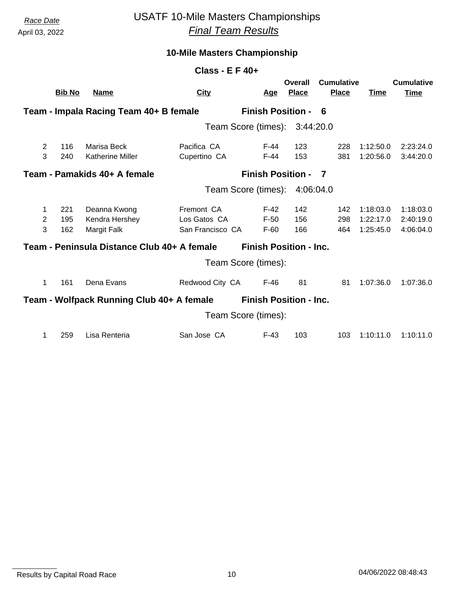# *Race Date* USATF 10-Mile Masters Championships *Final Team Results*

### **10-Mile Masters Championship**

| Class - $E$ F 40+        |                                  |                                               |                                                |                               |                         |                                   |                                     |                                     |  |
|--------------------------|----------------------------------|-----------------------------------------------|------------------------------------------------|-------------------------------|-------------------------|-----------------------------------|-------------------------------------|-------------------------------------|--|
|                          | <b>Bib No</b>                    | <u>Name</u>                                   | <b>City</b>                                    | <u>Age</u>                    | Overall<br><b>Place</b> | <b>Cumulative</b><br><b>Place</b> | <b>Time</b>                         | <b>Cumulative</b><br><b>Time</b>    |  |
|                          |                                  | Team - Impala Racing Team 40+ B female        |                                                | <b>Finish Position -</b>      |                         | - 6                               |                                     |                                     |  |
|                          | Team Score (times):<br>3:44:20.0 |                                               |                                                |                               |                         |                                   |                                     |                                     |  |
| 2<br>3                   | 116<br>240                       | Marisa Beck<br><b>Katherine Miller</b>        | Pacifica CA<br>Cupertino CA                    | F-44<br>$F-44$                | 123<br>153              | 228<br>381                        | 1:12:50.0<br>1:20:56.0              | 2:23:24.0<br>3:44:20.0              |  |
|                          |                                  | Team - Pamakids 40+ A female                  |                                                | <b>Finish Position -</b>      |                         | $\overline{\phantom{a}}$          |                                     |                                     |  |
|                          |                                  |                                               |                                                | Team Score (times):           | 4:06:04.0               |                                   |                                     |                                     |  |
| 1<br>$\overline{2}$<br>3 | 221<br>195<br>162                | Deanna Kwong<br>Kendra Hershey<br>Margit Falk | Fremont CA<br>Los Gatos CA<br>San Francisco CA | $F-42$<br>$F-50$<br>$F-60$    | 142<br>156<br>166       | 142<br>298<br>464                 | 1:18:03.0<br>1:22:17.0<br>1:25:45.0 | 1:18:03.0<br>2:40:19.0<br>4:06:04.0 |  |
|                          |                                  | Team - Peninsula Distance Club 40+ A female   |                                                | <b>Finish Position - Inc.</b> |                         |                                   |                                     |                                     |  |
|                          |                                  |                                               |                                                | Team Score (times):           |                         |                                   |                                     |                                     |  |
| 1                        | 161                              | Dena Evans                                    | Redwood City CA                                | $F-46$                        | 81                      | 81                                | 1:07:36.0                           | 1:07:36.0                           |  |
|                          |                                  | Team - Wolfpack Running Club 40+ A female     |                                                | <b>Finish Position - Inc.</b> |                         |                                   |                                     |                                     |  |
|                          |                                  |                                               |                                                | Team Score (times):           |                         |                                   |                                     |                                     |  |
| 1                        | 259                              | Lisa Renteria                                 | San Jose CA                                    | $F-43$                        | 103                     | 103                               | 1:10:11.0                           | 1:10:11.0                           |  |

Results by Capital Road Race 10 04/06/2022 08:48:43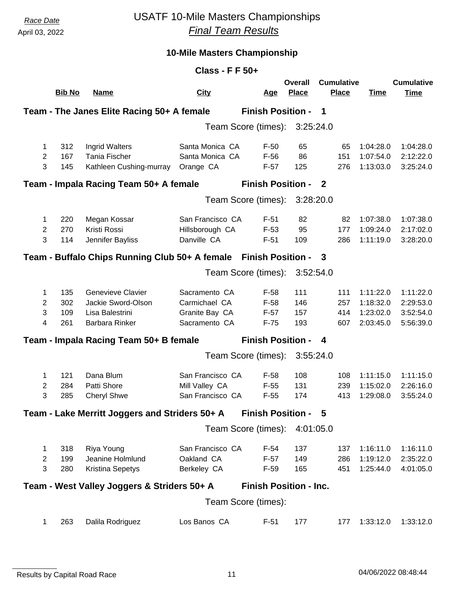## *Race Date* USATF 10-Mile Masters Championships *Final Team Results*

|                | <b>Class - F F 50+</b>                                                                        |                                                |                  |                               |                         |                                   |             |                                  |  |  |
|----------------|-----------------------------------------------------------------------------------------------|------------------------------------------------|------------------|-------------------------------|-------------------------|-----------------------------------|-------------|----------------------------------|--|--|
|                | <b>Bib No</b>                                                                                 | <b>Name</b>                                    | <b>City</b>      | <u>Age</u>                    | Overall<br><b>Place</b> | <b>Cumulative</b><br><b>Place</b> | <b>Time</b> | <b>Cumulative</b><br><b>Time</b> |  |  |
|                |                                                                                               | Team - The Janes Elite Racing 50+ A female     |                  | <b>Finish Position -</b>      |                         | -1                                |             |                                  |  |  |
|                |                                                                                               |                                                |                  | Team Score (times):           | 3:25:24.0               |                                   |             |                                  |  |  |
| 1              | 312                                                                                           | Ingrid Walters                                 | Santa Monica CA  | $F-50$                        | 65                      | 65                                | 1:04:28.0   | 1:04:28.0                        |  |  |
| $\overline{2}$ | 167                                                                                           | <b>Tania Fischer</b>                           | Santa Monica CA  | $F-56$                        | 86                      | 151                               | 1:07:54.0   | 2:12:22.0                        |  |  |
| 3              | 145                                                                                           | Kathleen Cushing-murray                        | Orange CA        | $F-57$                        | 125                     | 276                               | 1:13:03.0   | 3:25:24.0                        |  |  |
|                | <b>Finish Position -</b><br>Team - Impala Racing Team 50+ A female<br>$\overline{\mathbf{2}}$ |                                                |                  |                               |                         |                                   |             |                                  |  |  |
|                |                                                                                               |                                                |                  | Team Score (times):           | 3:28:20.0               |                                   |             |                                  |  |  |
| 1              | 220                                                                                           | Megan Kossar                                   | San Francisco CA | $F-51$                        | 82                      | 82                                | 1:07:38.0   | 1:07:38.0                        |  |  |
| $\overline{2}$ | 270                                                                                           | Kristi Rossi                                   | Hillsborough CA  | $F-53$                        | 95                      | 177                               | 1:09:24.0   | 2:17:02.0                        |  |  |
| 3              | 114                                                                                           | Jennifer Bayliss                               | Danville CA      | $F-51$                        | 109                     | 286                               | 1:11:19.0   | 3:28:20.0                        |  |  |
|                |                                                                                               | Team - Buffalo Chips Running Club 50+ A female |                  | <b>Finish Position - 3</b>    |                         |                                   |             |                                  |  |  |
|                |                                                                                               |                                                |                  | Team Score (times):           | 3:52:54.0               |                                   |             |                                  |  |  |
| 1              | 135                                                                                           | <b>Genevieve Clavier</b>                       | Sacramento CA    | $F-58$                        | 111                     | 111                               | 1:11:22.0   | 1:11:22.0                        |  |  |
| $\overline{c}$ | 302                                                                                           | Jackie Sword-Olson                             | Carmichael CA    | $F-58$                        | 146                     | 257                               | 1:18:32.0   | 2:29:53.0                        |  |  |
| 3              | 109                                                                                           | Lisa Balestrini                                | Granite Bay CA   | $F-57$                        | 157                     | 414                               | 1:23:02.0   | 3:52:54.0                        |  |  |
| 4              | 261                                                                                           | Barbara Rinker                                 | Sacramento CA    | $F-75$                        | 193                     | 607                               | 2:03:45.0   | 5:56:39.0                        |  |  |
|                |                                                                                               | Team - Impala Racing Team 50+ B female         |                  | <b>Finish Position -</b>      |                         | 4                                 |             |                                  |  |  |
|                |                                                                                               |                                                |                  | Team Score (times):           | 3:55:24.0               |                                   |             |                                  |  |  |
| 1              | 121                                                                                           | Dana Blum                                      | San Francisco CA | $F-58$                        | 108                     | 108                               | 1:11:15.0   | 1:11:15.0                        |  |  |
| $\mathbf{2}$   | 284                                                                                           | Patti Shore                                    | Mill Valley CA   | $F-55$                        | 131                     | 239                               | 1:15:02.0   | 2:26:16.0                        |  |  |
| 3              | 285                                                                                           | <b>Cheryl Shwe</b>                             | San Francisco CA | $F-55$                        | 174                     | 413                               | 1:29:08.0   | 3:55:24.0                        |  |  |
|                |                                                                                               | Team - Lake Merritt Joggers and Striders 50+ A |                  | <b>Finish Position - 5</b>    |                         |                                   |             |                                  |  |  |
|                |                                                                                               |                                                |                  | Team Score (times): 4:01:05.0 |                         |                                   |             |                                  |  |  |
| 1              | 318                                                                                           | Riya Young                                     | San Francisco CA | $F-54$                        | 137                     | 137                               | 1:16:11.0   | 1:16:11.0                        |  |  |
| $\mathbf{2}$   | 199                                                                                           | Jeanine Holmlund                               | Oakland CA       | $F-57$                        | 149                     | 286                               | 1:19:12.0   | 2:35:22.0                        |  |  |
| 3              | 280                                                                                           | <b>Kristina Sepetys</b>                        | Berkeley CA      | $F-59$                        | 165                     | 451                               | 1:25:44.0   | 4:01:05.0                        |  |  |
|                |                                                                                               | Team - West Valley Joggers & Striders 50+ A    |                  | <b>Finish Position - Inc.</b> |                         |                                   |             |                                  |  |  |
|                |                                                                                               |                                                |                  | Team Score (times):           |                         |                                   |             |                                  |  |  |
| 1              | 263                                                                                           | Dalila Rodriguez                               | Los Banos CA     | $F-51$                        | 177                     | 177                               | 1:33:12.0   | 1:33:12.0                        |  |  |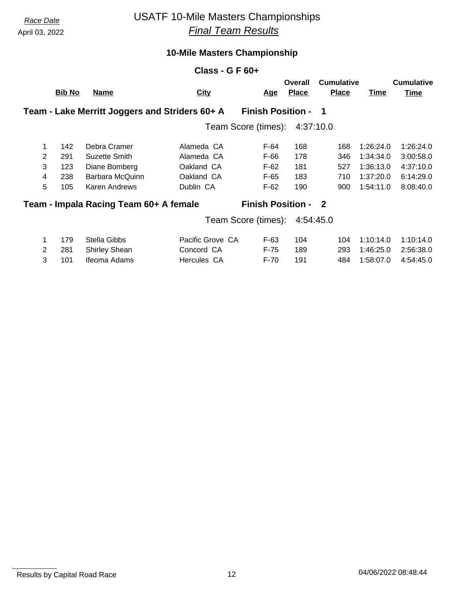# *Race Date* USATF 10-Mile Masters Championships *Final Team Results*

### **10-Mile Masters Championship**

|                |               |                                                | Class - G F $60+$   |                            |                         |                                   |           |                                  |
|----------------|---------------|------------------------------------------------|---------------------|----------------------------|-------------------------|-----------------------------------|-----------|----------------------------------|
|                | <b>Bib No</b> | <u>Name</u>                                    | <b>City</b>         | <u>Age</u>                 | Overall<br><b>Place</b> | <b>Cumulative</b><br><b>Place</b> | Time      | <b>Cumulative</b><br><b>Time</b> |
|                |               | Team - Lake Merritt Joggers and Striders 60+ A |                     | <b>Finish Position -</b>   |                         | $\blacksquare$                    |           |                                  |
|                |               |                                                | Team Score (times): |                            | 4:37:10.0               |                                   |           |                                  |
| 1              | 142           | Debra Cramer                                   | Alameda CA          | F-64                       | 168                     | 168                               | 1:26:24.0 | 1:26:24.0                        |
| $\overline{2}$ | 291           | Suzette Smith                                  | Alameda CA          | F-66                       | 178                     | 346                               | 1:34:34.0 | 3:00:58.0                        |
| 3              | 123           | Diane Bomberg                                  | Oakland CA          | F-62                       | 181                     | 527                               | 1:36:13.0 | 4:37:10.0                        |
| 4              | 238           | Barbara McQuinn                                | Oakland CA          | $F-65$                     | 183                     | 710                               | 1:37:20.0 | 6:14:29.0                        |
| 5              | 105           | Karen Andrews                                  | Dublin CA           | $F-62$                     | 190                     | 900                               | 1:54:11.0 | 8:08:40.0                        |
|                |               | Team - Impala Racing Team 60+ A female         |                     | <b>Finish Position - 2</b> |                         |                                   |           |                                  |
|                |               |                                                | Team Score (times): |                            | 4:54:45.0               |                                   |           |                                  |
| 1              | 179           | Stella Gibbs                                   | Pacific Grove CA    | $F-63$                     | 104                     | 104                               | 1:10:14.0 | 1:10:14.0                        |
| 2              | 281           | <b>Shirley Shean</b>                           | Concord CA          | F-75                       | 189                     | 293                               | 1:46:25.0 | 2:56:38.0                        |

3 101 Ifeoma Adams Hercules CA F-70 191 484 1:58:07.0 4:54:45.0